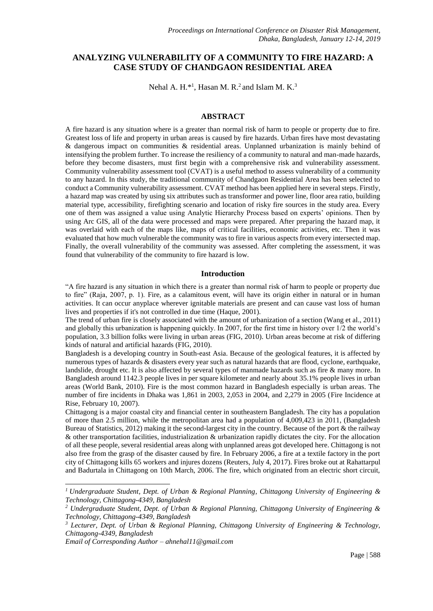# **ANALYZING VULNERABILITY OF A COMMUNITY TO FIRE HAZARD: A CASE STUDY OF CHANDGAON RESIDENTIAL AREA**

Nehal A.  $H.*<sup>1</sup>$ , Hasan M. R.<sup>2</sup> and Islam M. K.<sup>3</sup>

# **ABSTRACT**

A fire hazard is any situation where is a greater than normal risk of harm to people or property due to fire. Greatest loss of life and property in urban areas is caused by fire hazards. Urban fires have most devastating & dangerous impact on communities  $\&$  residential areas. Unplanned urbanization is mainly behind of intensifying the problem further. To increase the resiliency of a community to natural and man-made hazards, before they become disasters, must first begin with a comprehensive risk and vulnerability assessment. Community vulnerability assessment tool (CVAT) is a useful method to assess vulnerability of a community to any hazard. In this study, the traditional community of Chandgaon Residential Area has been selected to conduct a Community vulnerability assessment. CVAT method has been applied here in several steps. Firstly, a hazard map was created by using six attributes such as transformer and power line, floor area ratio, building material type, accessibility, firefighting scenario and location of risky fire sources in the study area. Every one of them was assigned a value using Analytic Hierarchy Process based on experts' opinions. Then by using Arc GIS, all of the data were processed and maps were prepared. After preparing the hazard map, it was overlaid with each of the maps like, maps of critical facilities, economic activities, etc. Then it was evaluated that how much vulnerable the community was to fire in various aspects from every intersected map. Finally, the overall vulnerability of the community was assessed. After completing the assessment, it was found that vulnerability of the community to fire hazard is low.

#### **Introduction**

"A fire hazard is any situation in which there is a greater than normal risk of harm to people or property due to fire" (Raja, 2007, p. 1). Fire, as a calamitous event, will have its origin either in natural or in human activities. It can occur anyplace wherever ignitable materials are present and can cause vast loss of human lives and properties if it's not controlled in due time (Haque, 2001).

The trend of urban fire is closely associated with the amount of urbanization of a section (Wang et al., 2011) and globally this urbanization is happening quickly. In 2007, for the first time in history over 1/2 the world's population, 3.3 billion folks were living in urban areas (FIG, 2010). Urban areas become at risk of differing kinds of natural and artificial hazards (FIG, 2010).

Bangladesh is a developing country in South-east Asia. Because of the geological features, it is affected by numerous types of hazards & disasters every year such as natural hazards that are flood, cyclone, earthquake, landslide, drought etc. It is also affected by several types of manmade hazards such as fire & many more. In Bangladesh around 1142.3 people lives in per square kilometer and nearly about 35.1% people lives in urban areas (World Bank, 2010). Fire is the most common hazard in Bangladesh especially is urban areas. The number of fire incidents in Dhaka was 1,861 in 2003, 2,053 in 2004, and 2,279 in 2005 (Fire Incidence at Rise, February 10, 2007).

Chittagong is a major coastal city and financial center in southeastern Bangladesh. The city has a population of more than 2.5 million, while the metropolitan area had a population of 4,009,423 in 2011, (Bangladesh Bureau of Statistics, 2012) making it the second-largest city in the country. Because of the port & the railway & other transportation facilities, industrialization & urbanization rapidly dictates the city. For the allocation of all these people, several residential areas along with unplanned areas got developed here. Chittagong is not also free from the grasp of the disaster caused by fire. In February 2006, a fire at a textile factory in the port city of Chittagong kills 65 workers and injures dozens (Reuters, July 4, 2017). Fires broke out at Rahattarpul and Badurtala in Chittagong on 10th March, 2006. The fire, which originated from an electric short circuit,

-

*<sup>1</sup> Undergraduate Student, Dept. of Urban & Regional Planning, Chittagong University of Engineering & Technology, Chittagong-4349, Bangladesh*

*<sup>2</sup> Undergraduate Student, Dept. of Urban & Regional Planning, Chittagong University of Engineering & Technology, Chittagong-4349, Bangladesh*

*<sup>3</sup> Lecturer, Dept. of Urban & Regional Planning, Chittagong University of Engineering & Technology, Chittagong-4349, Bangladesh* 

*Email of Corresponding Author – ahnehal11@gmail.com*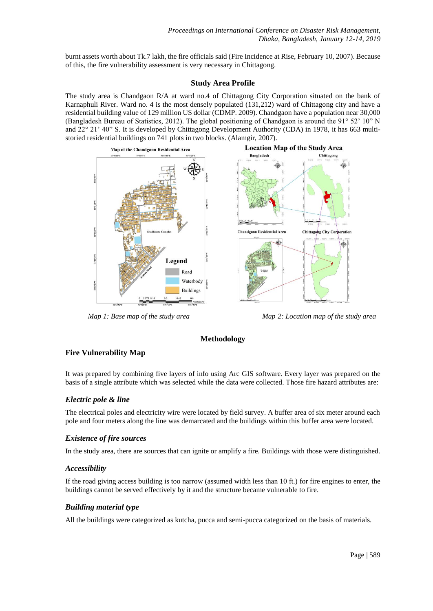burnt assets worth about Tk.7 lakh, the fire officials said (Fire Incidence at Rise, February 10, 2007). Because of this, the fire vulnerability assessment is very necessary in Chittagong.

#### **Study Area Profile**

The study area is Chandgaon R/A at ward no.4 of Chittagong City Corporation situated on the bank of Karnaphuli River. Ward no. 4 is the most densely populated (131,212) ward of Chittagong city and have a residential building value of 129 million US dollar (CDMP. 2009). Chandgaon have a population near 30,000 (Bangladesh Bureau of Statistics, 2012). The global positioning of Chandgaon is around the 91° 52' 10" N and 22° 21' 40" S. It is developed by Chittagong Development Authority (CDA) in 1978, it has 663 multistoried residential buildings on 741 plots in two blocks. (Alamgir, 2007).



 *Map 1: Base map of the study area Map 2: Location map of the study area*

# **Methodology**

# **Fire Vulnerability Map**

It was prepared by combining five layers of info using Arc GIS software. Every layer was prepared on the basis of a single attribute which was selected while the data were collected. Those fire hazard attributes are:

# *Electric pole & line*

The electrical poles and electricity wire were located by field survey. A buffer area of six meter around each pole and four meters along the line was demarcated and the buildings within this buffer area were located.

#### *Existence of fire sources*

In the study area, there are sources that can ignite or amplify a fire. Buildings with those were distinguished.

# *Accessibility*

If the road giving access building is too narrow (assumed width less than 10 ft.) for fire engines to enter, the buildings cannot be served effectively by it and the structure became vulnerable to fire.

# *Building material type*

All the buildings were categorized as kutcha, pucca and semi-pucca categorized on the basis of materials.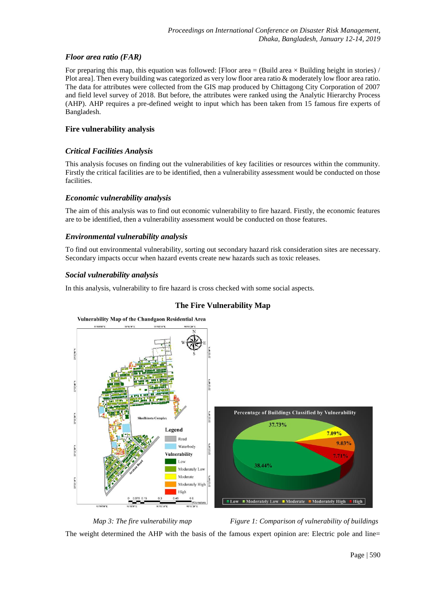# *Floor area ratio (FAR)*

For preparing this map, this equation was followed: [Floor area  $=$  (Build area  $\times$  Building height in stories) / Plot area]. Then every building was categorized as very low floor area ratio & moderately low floor area ratio. The data for attributes were collected from the GIS map produced by Chittagong City Corporation of 2007 and field level survey of 2018. But before, the attributes were ranked using the Analytic Hierarchy Process (AHP). AHP requires a pre-defined weight to input which has been taken from 15 famous fire experts of Bangladesh.

#### **Fire vulnerability analysis**

### *Critical Facilities Analysis*

This analysis focuses on finding out the vulnerabilities of key facilities or resources within the community. Firstly the critical facilities are to be identified, then a vulnerability assessment would be conducted on those facilities.

#### *Economic vulnerability analysis*

The aim of this analysis was to find out economic vulnerability to fire hazard. Firstly, the economic features are to be identified, then a vulnerability assessment would be conducted on those features.

#### *Environmental vulnerability analysis*

To find out environmental vulnerability, sorting out secondary hazard risk consideration sites are necessary. Secondary impacts occur when hazard events create new hazards such as toxic releases.

### *Social vulnerability analysis*

In this analysis, vulnerability to fire hazard is cross checked with some social aspects.



# **The Fire Vulnerability Map**

*Map 3: The fire vulnerability map* Figure 1: Comparison of vulnerability of buildings

The weight determined the AHP with the basis of the famous expert opinion are: Electric pole and line=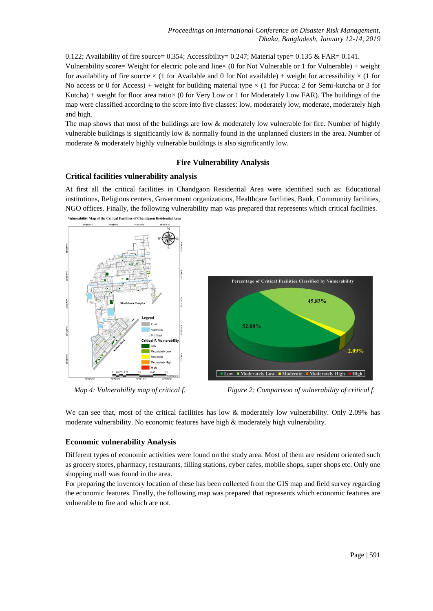0.122; Availability of fire source=  $0.354$ ; Accessibility=  $0.247$ ; Material type=  $0.135 \& FAR = 0.141$ . Vulnerability score= Weight for electric pole and line× (0 for Not Vulnerable or 1 for Vulnerable) + weight for availability of fire source  $\times$  (1 for Available and 0 for Not available) + weight for accessibility  $\times$  (1 for No access or 0 for Access) + weight for building material type  $\times$  (1 for Pucca; 2 for Semi-kutcha or 3 for Kutcha) + weight for floor area ratio $\times$  (0 for Very Low or 1 for Moderately Low FAR). The buildings of the map were classified according to the score into five classes: low, moderately low, moderate, moderately high and high.

The map shows that most of the buildings are low & moderately low vulnerable for fire. Number of highly vulnerable buildings is significantly low & normally found in the unplanned clusters in the area. Number of moderate & moderately highly vulnerable buildings is also significantly low.

# **Fire Vulnerability Analysis**

# **Critical facilities vulnerability analysis**

At first all the critical facilities in Chandgaon Residential Area were identified such as: Educational institutions, Religious centers, Government organizations, Healthcare facilities, Bank, Community facilities, NGO offices. Finally, the following vulnerability map was prepared that represents which critical facilities.



 *Map 4: Vulnerability map of critical f. Figure 2: Comparison of vulnerability of critical f.*

We can see that, most of the critical facilities has low & moderately low vulnerability. Only 2.09% has moderate vulnerability. No economic features have high & moderately high vulnerability.

# **Economic vulnerability Analysis**

Different types of economic activities were found on the study area. Most of them are resident oriented such as grocery stores, pharmacy, restaurants, filling stations, cyber cafes, mobile shops, super shops etc. Only one shopping mall was found in the area.

For preparing the inventory location of these has been collected from the GIS map and field survey regarding the economic features. Finally, the following map was prepared that represents which economic features are vulnerable to fire and which are not.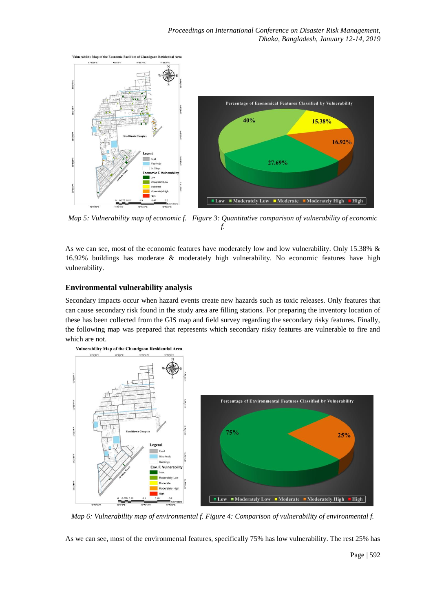

*Map 5: Vulnerability map of economic f. Figure 3: Quantitative comparison of vulnerability of economic f.*

As we can see, most of the economic features have moderately low and low vulnerability. Only 15.38% & 16.92% buildings has moderate & moderately high vulnerability. No economic features have high vulnerability.

### **Environmental vulnerability analysis**

Secondary impacts occur when hazard events create new hazards such as toxic releases. Only features that can cause secondary risk found in the study area are filling stations. For preparing the inventory location of these has been collected from the GIS map and field survey regarding the secondary risky features. Finally, the following map was prepared that represents which secondary risky features are vulnerable to fire and which are not.



*Map 6: Vulnerability map of environmental f. Figure 4: Comparison of vulnerability of environmental f.* 

As we can see, most of the environmental features, specifically 75% has low vulnerability. The rest 25% has